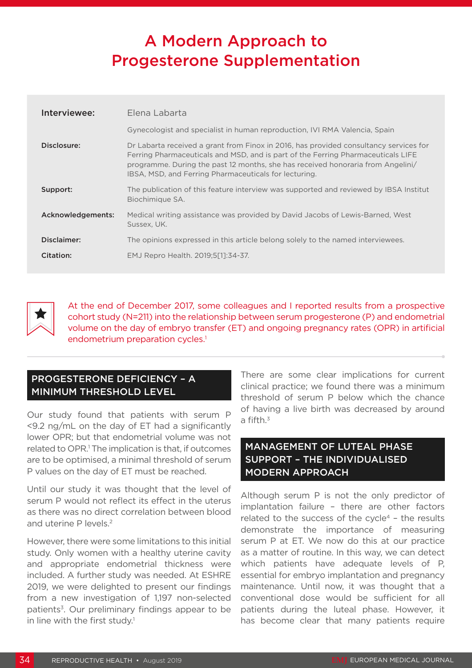# A Modern Approach to Progesterone Supplementation

| Interviewee:      | Elena Labarta                                                                                                                                                                                                                                                                                                         |
|-------------------|-----------------------------------------------------------------------------------------------------------------------------------------------------------------------------------------------------------------------------------------------------------------------------------------------------------------------|
|                   | Gynecologist and specialist in human reproduction, IVI RMA Valencia, Spain                                                                                                                                                                                                                                            |
| Disclosure:       | Dr Labarta received a grant from Finox in 2016, has provided consultancy services for<br>Ferring Pharmaceuticals and MSD, and is part of the Ferring Pharmaceuticals LIFE<br>programme. During the past 12 months, she has received honoraria from Angelini/<br>IBSA, MSD, and Ferring Pharmaceuticals for lecturing. |
| Support:          | The publication of this feature interview was supported and reviewed by IBSA Institut<br>Biochimique SA.                                                                                                                                                                                                              |
| Acknowledgements: | Medical writing assistance was provided by David Jacobs of Lewis-Barned, West<br>Sussex, UK.                                                                                                                                                                                                                          |
| Disclaimer:       | The opinions expressed in this article belong solely to the named interviewees.                                                                                                                                                                                                                                       |
| Citation:         | EMJ Repro Health. 2019;5[1]:34-37.                                                                                                                                                                                                                                                                                    |



At the end of December 2017, some colleagues and I reported results from a prospective cohort study (N=211) into the relationship between serum progesterone (P) and endometrial volume on the day of embryo transfer (ET) and ongoing pregnancy rates (OPR) in artificial endometrium preparation cycles.<sup>1</sup>

### PROGESTERONE DEFICIENCY – A MINIMUM THRESHOLD LEVEL

Our study found that patients with serum P <9.2 ng/mL on the day of ET had a significantly lower OPR; but that endometrial volume was not related to OPR.<sup>1</sup> The implication is that, if outcomes are to be optimised, a minimal threshold of serum P values on the day of ET must be reached.

Until our study it was thought that the level of serum P would not reflect its effect in the uterus as there was no direct correlation between blood and uterine P levels.2

However, there were some limitations to this initial study. Only women with a healthy uterine cavity and appropriate endometrial thickness were included. A further study was needed. At ESHRE 2019, we were delighted to present our findings from a new investigation of 1,197 non-selected patients<sup>3</sup>. Our preliminary findings appear to be in line with the first study.<sup>1</sup>

There are some clear implications for current clinical practice; we found there was a minimum threshold of serum P below which the chance of having a live birth was decreased by around a fifth. $3$ 

### MANAGEMENT OF LUTEAL PHASE SUPPORT – THE INDIVIDUALISED MODERN APPROACH

Although serum P is not the only predictor of implantation failure – there are other factors related to the success of the cycle<sup>4</sup> - the results demonstrate the importance of measuring serum P at ET. We now do this at our practice as a matter of routine. In this way, we can detect which patients have adequate levels of P, essential for embryo implantation and pregnancy maintenance. Until now, it was thought that a conventional dose would be sufficient for all patients during the luteal phase. However, it has become clear that many patients require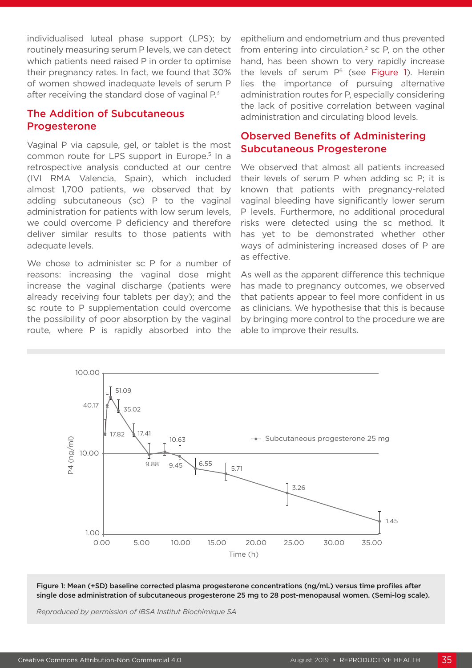individualised luteal phase support (LPS); by routinely measuring serum P levels, we can detect which patients need raised P in order to optimise their pregnancy rates. In fact, we found that 30% of women showed inadequate levels of serum P after receiving the standard dose of vaginal P.<sup>3</sup>

### The Addition of Subcutaneous **Progesterone**

Vaginal P via capsule, gel, or tablet is the most common route for LPS support in Europe.<sup>5</sup> In a retrospective analysis conducted at our centre (IVI RMA Valencia, Spain), which included almost 1,700 patients, we observed that by adding subcutaneous (sc) P to the vaginal administration for patients with low serum levels, we could overcome P deficiency and therefore deliver similar results to those patients with adequate levels.

We chose to administer sc P for a number of reasons: increasing the vaginal dose might increase the vaginal discharge (patients were already receiving four tablets per day); and the sc route to P supplementation could overcome the possibility of poor absorption by the vaginal route, where P is rapidly absorbed into the

epithelium and endometrium and thus prevented from entering into circulation. $2$  sc P, on the other hand, has been shown to very rapidly increase the levels of serum  $P<sup>6</sup>$  (see Figure 1). Herein lies the importance of pursuing alternative administration routes for P, especially considering the lack of positive correlation between vaginal administration and circulating blood levels.

#### Observed Benefits of Administering Subcutaneous Progesterone

We observed that almost all patients increased their levels of serum P when adding sc P; it is known that patients with pregnancy-related vaginal bleeding have significantly lower serum P levels. Furthermore, no additional procedural risks were detected using the sc method. It has yet to be demonstrated whether other ways of administering increased doses of P are as effective.

As well as the apparent difference this technique has made to pregnancy outcomes, we observed that patients appear to feel more confident in us as clinicians. We hypothesise that this is because by bringing more control to the procedure we are able to improve their results.



Figure 1: Mean (+SD) baseline corrected plasma progesterone concentrations (ng/mL) versus time profiles after single dose administration of subcutaneous progesterone 25 mg to 28 post-menopausal women. (Semi-log scale).

*Reproduced by permission of IBSA Institut Biochimique SA*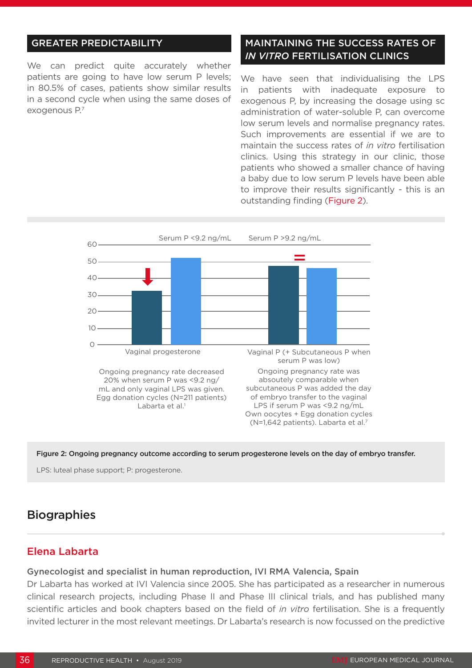#### GREATER PREDICTABILITY

We can predict quite accurately whether patients are going to have low serum P levels; in 80.5% of cases, patients show similar results in a second cycle when using the same doses of exogenous P.7

#### MAINTAINING THE SUCCESS RATES OF *IN VITRO* FERTILISATION CLINICS

We have seen that individualising the LPS in patients with inadequate exposure to exogenous P, by increasing the dosage using sc administration of water-soluble P, can overcome low serum levels and normalise pregnancy rates. Such improvements are essential if we are to maintain the success rates of *in vitro* fertilisation clinics. Using this strategy in our clinic, those patients who showed a smaller chance of having a baby due to low serum P levels have been able to improve their results significantly - this is an outstanding finding (Figure 2).



Figure 2: Ongoing pregnancy outcome according to serum progesterone levels on the day of embryo transfer.

LPS: luteal phase support; P: progesterone.

## **Biographies**

#### Elena Labarta

#### Gynecologist and specialist in human reproduction, IVI RMA Valencia, Spain

Dr Labarta has worked at IVI Valencia since 2005. She has participated as a researcher in numerous clinical research projects, including Phase II and Phase III clinical trials, and has published many scientific articles and book chapters based on the field of *in vitro* fertilisation. She is a frequently invited lecturer in the most relevant meetings. Dr Labarta's research is now focussed on the predictive